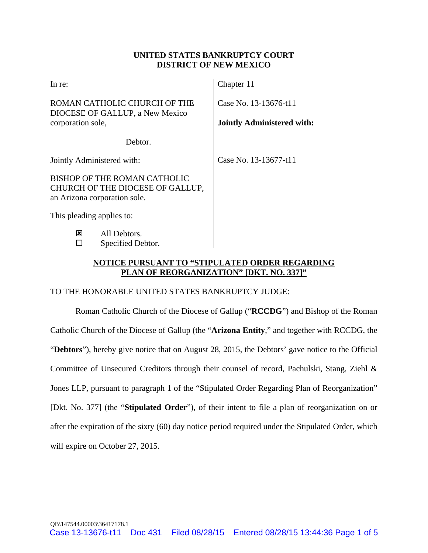## **UNITED STATES BANKRUPTCY COURT DISTRICT OF NEW MEXICO**

| In re:                                                          | Chapter 11                        |
|-----------------------------------------------------------------|-----------------------------------|
| ROMAN CATHOLIC CHURCH OF THE<br>DIOCESE OF GALLUP, a New Mexico | Case No. 13-13676-t11             |
| corporation sole,                                               | <b>Jointly Administered with:</b> |
| Debtor.                                                         |                                   |
| Jointly Administered with:                                      | Case No. 13-13677-t11             |
| BISHOP OF THE ROMAN CATHOLIC                                    |                                   |
| CHURCH OF THE DIOCESE OF GALLUP,                                |                                   |
| an Arizona corporation sole.                                    |                                   |
| This pleading applies to:                                       |                                   |
| All Debtors.<br>⊠                                               |                                   |
| Specified Debtor.                                               |                                   |

## **NOTICE PURSUANT TO "STIPULATED ORDER REGARDING PLAN OF REORGANIZATION" [DKT. NO. 337]"**

## TO THE HONORABLE UNITED STATES BANKRUPTCY JUDGE:

 Roman Catholic Church of the Diocese of Gallup ("**RCCDG**") and Bishop of the Roman Catholic Church of the Diocese of Gallup (the "**Arizona Entity**," and together with RCCDG, the "**Debtors**"), hereby give notice that on August 28, 2015, the Debtors' gave notice to the Official Committee of Unsecured Creditors through their counsel of record, Pachulski, Stang, Ziehl & Jones LLP, pursuant to paragraph 1 of the "Stipulated Order Regarding Plan of Reorganization" [Dkt. No. 377] (the "**Stipulated Order**"), of their intent to file a plan of reorganization on or after the expiration of the sixty (60) day notice period required under the Stipulated Order, which will expire on October 27, 2015.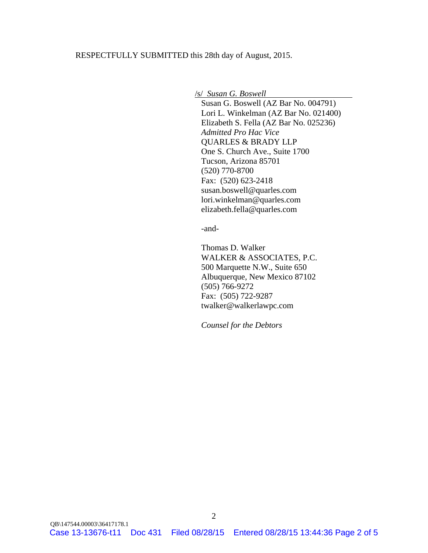RESPECTFULLY SUBMITTED this 28th day of August, 2015.

/s/ *Susan G. Boswell* 

 Susan G. Boswell (AZ Bar No. 004791) Lori L. Winkelman (AZ Bar No. 021400) Elizabeth S. Fella (AZ Bar No. 025236) *Admitted Pro Hac Vice*  QUARLES & BRADY LLP One S. Church Ave., Suite 1700 Tucson, Arizona 85701 (520) 770-8700 Fax: (520) 623-2418 susan.boswell@quarles.com lori.winkelman@quarles.com elizabeth.fella@quarles.com

-and-

 Thomas D. Walker WALKER & ASSOCIATES, P.C. 500 Marquette N.W., Suite 650 Albuquerque, New Mexico 87102 (505) 766-9272 Fax: (505) 722-9287 twalker@walkerlawpc.com

*Counsel for the Debtors*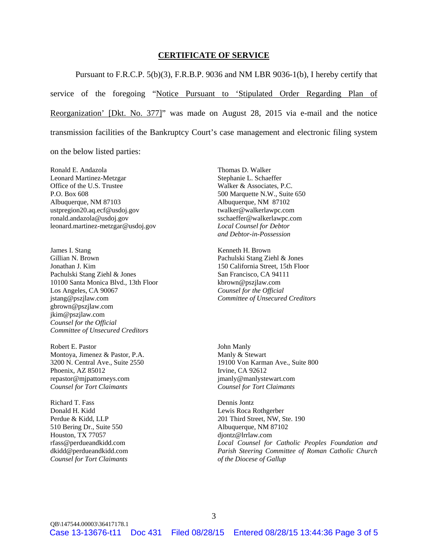## **CERTIFICATE OF SERVICE**

Pursuant to F.R.C.P. 5(b)(3), F.R.B.P. 9036 and NM LBR 9036-1(b), I hereby certify that service of the foregoing "Notice Pursuant to 'Stipulated Order Regarding Plan of Reorganization' [Dkt. No. 377]" was made on August 28, 2015 via e-mail and the notice transmission facilities of the Bankruptcy Court's case management and electronic filing system

on the below listed parties:

Ronald E. Andazola Leonard Martinez-Metzgar Office of the U.S. Trustee P.O. Box 608 Albuquerque, NM 87103 ustpregion20.aq.ecf@usdoj.gov ronald.andazola@usdoj.gov leonard.martinez-metzgar@usdoj.gov

James I. Stang Gillian N. Brown Jonathan J. Kim Pachulski Stang Ziehl & Jones 10100 Santa Monica Blvd., 13th Floor Los Angeles, CA 90067 jstang@pszjlaw.com gbrown@pszjlaw.com jkim@pszjlaw.com *Counsel for the Official Committee of Unsecured Creditors* 

Robert E. Pastor Montoya, Jimenez & Pastor, P.A. 3200 N. Central Ave., Suite 2550 Phoenix, AZ 85012 repastor@mjpattorneys.com *Counsel for Tort Claimants* 

Richard T. Fass Donald H. Kidd Perdue & Kidd, LLP 510 Bering Dr., Suite 550 Houston, TX 77057 rfass@perdueandkidd.com dkidd@perdueandkidd.com *Counsel for Tort Claimants*

Thomas D. Walker Stephanie L. Schaeffer Walker & Associates, P.C. 500 Marquette N.W., Suite 650 Albuquerque, NM 87102 twalker@walkerlawpc.com sschaeffer@walkerlawpc.com *Local Counsel for Debtor and Debtor-in-Possession* 

Kenneth H. Brown Pachulski Stang Ziehl & Jones 150 California Street, 15th Floor San Francisco, CA 94111 kbrown@pszjlaw.com *Counsel for the Official Committee of Unsecured Creditors*

John Manly Manly & Stewart 19100 Von Karman Ave., Suite 800 Irvine, CA 92612 jmanly@manlystewart.com *Counsel for Tort Claimants* 

Dennis Jontz Lewis Roca Rothgerber 201 Third Street, NW, Ste. 190 Albuquerque, NM 87102 djontz@lrrlaw.com *Local Counsel for Catholic Peoples Foundation and Parish Steering Committee of Roman Catholic Church of the Diocese of Gallup*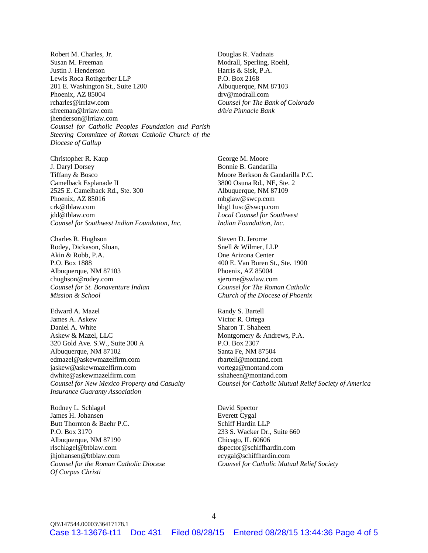Robert M. Charles, Jr. Susan M. Freeman Justin J. Henderson Lewis Roca Rothgerber LLP 201 E. Washington St., Suite 1200 Phoenix, AZ 85004 rcharles@lrrlaw.com sfreeman@lrrlaw.com jhenderson@lrrlaw.com *Counsel for Catholic Peoples Foundation and Parish Steering Committee of Roman Catholic Church of the Diocese of Gallup* 

Christopher R. Kaup J. Daryl Dorsey Tiffany & Bosco Camelback Esplanade II 2525 E. Camelback Rd., Ste. 300 Phoenix, AZ 85016 crk@tblaw.com jdd@tblaw.com *Counsel for Southwest Indian Foundation, Inc.* 

Charles R. Hughson Rodey, Dickason, Sloan, Akin & Robb, P.A. P.O. Box 1888 Albuquerque, NM 87103 chughson@rodey.com *Counsel for St. Bonaventure Indian Mission & School* 

Edward A. Mazel James A. Askew Daniel A. White Askew & Mazel, LLC 320 Gold Ave. S.W., Suite 300 A Albuquerque, NM 87102 edmazel@askewmazelfirm.com jaskew@askewmazelfirm.com dwhite@askewmazelfirm.com *Counsel for New Mexico Property and Casualty Insurance Guaranty Association* 

Rodney L. Schlagel James H. Johansen Butt Thornton & Baehr P.C. P.O. Box 3170 Albuquerque, NM 87190 rlschlagel@btblaw.com jhjohansen@btblaw.com *Counsel for the Roman Catholic Diocese Of Corpus Christi*

Douglas R. Vadnais Modrall, Sperling, Roehl, Harris & Sisk, P.A. P.O. Box 2168 Albuquerque, NM 87103 drv@modrall.com *Counsel for The Bank of Colorado d/b/a Pinnacle Bank*

George M. Moore Bonnie B. Gandarilla Moore Berkson & Gandarilla P.C. 3800 Osuna Rd., NE, Ste. 2 Albuquerque, NM 87109 mbglaw@swcp.com bbg11usc@swcp.com *Local Counsel for Southwest Indian Foundation, Inc.* 

Steven D. Jerome Snell & Wilmer, LLP One Arizona Center 400 E. Van Buren St., Ste. 1900 Phoenix, AZ 85004 sjerome@swlaw.com *Counsel for The Roman Catholic Church of the Diocese of Phoenix* 

Randy S. Bartell Victor R. Ortega Sharon T. Shaheen Montgomery & Andrews, P.A. P.O. Box 2307 Santa Fe, NM 87504 rbartell@montand.com vortega@montand.com sshaheen@montand.com *Counsel for Catholic Mutual Relief Society of America* 

David Spector Everett Cygal Schiff Hardin LLP 233 S. Wacker Dr., Suite 660 Chicago, IL 60606 dspector@schiffhardin.com ecygal@schiffhardin.com *Counsel for Catholic Mutual Relief Society*